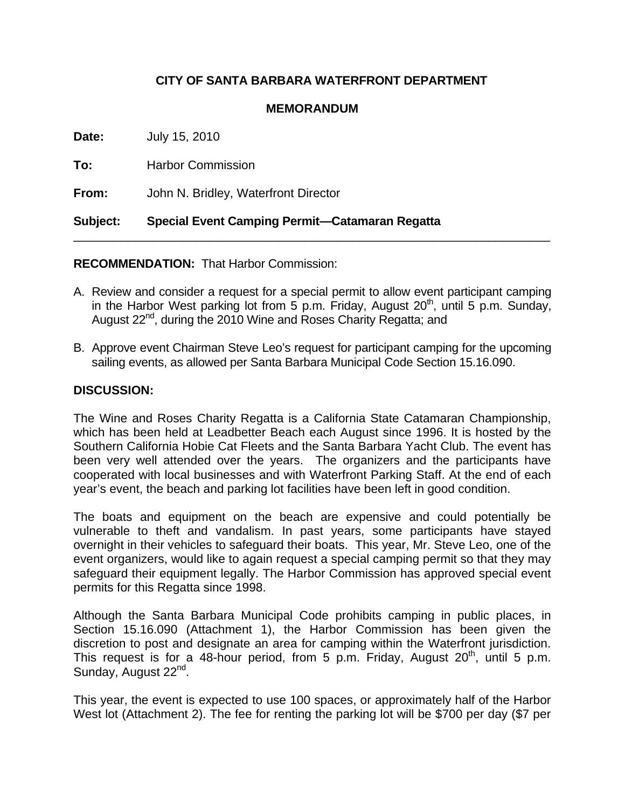## **CITY OF SANTA BARBARA WATERFRONT DEPARTMENT**

## **MEMORANDUM**

| <b>Subject:</b> | Special Event Camping Permit-Catamaran Regatta |
|-----------------|------------------------------------------------|
| From:           | John N. Bridley, Waterfront Director           |
| To:             | <b>Harbor Commission</b>                       |
| Date:           | July 15, 2010                                  |

## **RECOMMENDATION:** That Harbor Commission:

- A. Review and consider a request for a special permit to allow event participant camping in the Harbor West parking lot from 5 p.m. Friday, August  $20<sup>th</sup>$ , until 5 p.m. Sunday, August 22<sup>nd</sup>, during the 2010 Wine and Roses Charity Regatta; and
- B. Approve event Chairman Steve Leo's request for participant camping for the upcoming sailing events, as allowed per Santa Barbara Municipal Code Section 15.16.090.

## **DISCUSSION:**

The Wine and Roses Charity Regatta is a California State Catamaran Championship, which has been held at Leadbetter Beach each August since 1996. It is hosted by the Southern California Hobie Cat Fleets and the Santa Barbara Yacht Club. The event has been very well attended over the years. The organizers and the participants have cooperated with local businesses and with Waterfront Parking Staff. At the end of each year's event, the beach and parking lot facilities have been left in good condition.

The boats and equipment on the beach are expensive and could potentially be vulnerable to theft and vandalism. In past years, some participants have stayed overnight in their vehicles to safeguard their boats. This year, Mr. Steve Leo, one of the event organizers, would like to again request a special camping permit so that they may safeguard their equipment legally. The Harbor Commission has approved special event permits for this Regatta since 1998.

Although the Santa Barbara Municipal Code prohibits camping in public places, in Section 15.16.090 (Attachment 1), the Harbor Commission has been given the discretion to post and designate an area for camping within the Waterfront jurisdiction. This request is for a 48-hour period, from 5 p.m. Friday, August  $20<sup>th</sup>$ , until 5 p.m. Sunday, August 22<sup>nd</sup>.

This year, the event is expected to use 100 spaces, or approximately half of the Harbor West lot (Attachment 2). The fee for renting the parking lot will be \$700 per day (\$7 per